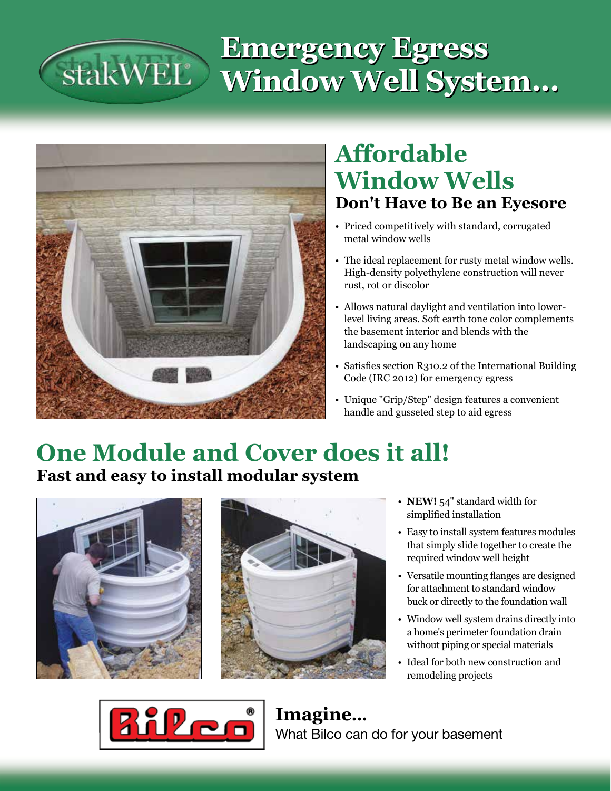### **Emergency Egress**  stakWEL® **Window Well System...**



# **Affordable Window Wells Don't Have to Be an Eyesore**

- • Priced competitively with standard, corrugated metal window wells
- The ideal replacement for rusty metal window wells. High-density polyethylene construction will never rust, rot or discolor
- Allows natural daylight and ventilation into lowerlevel living areas. Soft earth tone color complements the basement interior and blends with the landscaping on any home
- Satisfies section R310.2 of the International Building Code (IRC 2012) for emergency egress
- Unique "Grip/Step" design features a convenient handle and gusseted step to aid egress

## **One Module and Cover does it all! Fast and easy to install modular system**





- **NEW!** 54" standard width for simplified installation
- Easy to install system features modules that simply slide together to create the required window well height
- • Versatile mounting flanges are designed for attachment to standard window buck or directly to the foundation wall
- Window well system drains directly into a home's perimeter foundation drain without piping or special materials
- • Ideal for both new construction and remodeling projects



**Imagine...** What Bilco can do for your basement